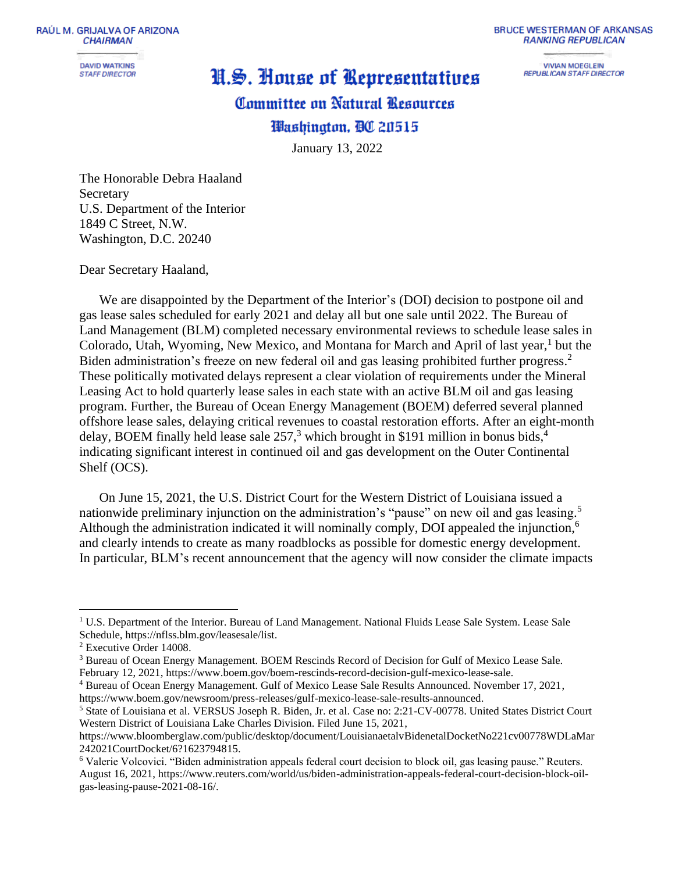RAÚL M. GRIJALVA OF ARIZONA **CHAIRMAN** 

> **DAVID WATKINS STAFF DIRECTOR**

## H.S. House of Representatives

## **BRUCE WESTERMAN OF ARKANSAS RANKING REPUBLICAN**

**VIVIAN MOEGLEIN REPUBLICAN STAFF DIRECTOR** 

## **Committee on Natural Besources**

## Washington, DC 20515

January 13, 2022

The Honorable Debra Haaland Secretary U.S. Department of the Interior 1849 C Street, N.W. Washington, D.C. 20240

Dear Secretary Haaland,

We are disappointed by the Department of the Interior's (DOI) decision to postpone oil and gas lease sales scheduled for early 2021 and delay all but one sale until 2022. The Bureau of Land Management (BLM) completed necessary environmental reviews to schedule lease sales in Colorado, Utah, Wyoming, New Mexico, and Montana for March and April of last year,<sup>1</sup> but the Biden administration's freeze on new federal oil and gas leasing prohibited further progress.<sup>2</sup> These politically motivated delays represent a clear violation of requirements under the Mineral Leasing Act to hold quarterly lease sales in each state with an active BLM oil and gas leasing program. Further, the Bureau of Ocean Energy Management (BOEM) deferred several planned offshore lease sales, delaying critical revenues to coastal restoration efforts. After an eight-month delay, BOEM finally held lease sale 257,<sup>3</sup> which brought in \$191 million in bonus bids,<sup>4</sup> indicating significant interest in continued oil and gas development on the Outer Continental Shelf (OCS).

On June 15, 2021, the U.S. District Court for the Western District of Louisiana issued a nationwide preliminary injunction on the administration's "pause" on new oil and gas leasing.<sup>5</sup> Although the administration indicated it will nominally comply, DOI appealed the injunction,<sup>6</sup> and clearly intends to create as many roadblocks as possible for domestic energy development. In particular, BLM's recent announcement that the agency will now consider the climate impacts

<sup>&</sup>lt;sup>1</sup> U.S. Department of the Interior. Bureau of Land Management. National Fluids Lease Sale System. Lease Sale Schedule, https://nflss.blm.gov/leasesale/list.

<sup>2</sup> Executive Order 14008.

<sup>3</sup> Bureau of Ocean Energy Management. BOEM Rescinds Record of Decision for Gulf of Mexico Lease Sale. February 12, 2021, https://www.boem.gov/boem-rescinds-record-decision-gulf-mexico-lease-sale.

<sup>4</sup> Bureau of Ocean Energy Management. Gulf of Mexico Lease Sale Results Announced. November 17, 2021, https://www.boem.gov/newsroom/press-releases/gulf-mexico-lease-sale-results-announced.

<sup>5</sup> State of Louisiana et al. VERSUS Joseph R. Biden, Jr. et al. Case no: 2:21-CV-00778. United States District Court Western District of Louisiana Lake Charles Division. Filed June 15, 2021,

https://www.bloomberglaw.com/public/desktop/document/LouisianaetalvBidenetalDocketNo221cv00778WDLaMar 242021CourtDocket/6?1623794815.

<sup>6</sup> Valerie Volcovici. "Biden administration appeals federal court decision to block oil, gas leasing pause." Reuters. August 16, 2021, https://www.reuters.com/world/us/biden-administration-appeals-federal-court-decision-block-oilgas-leasing-pause-2021-08-16/.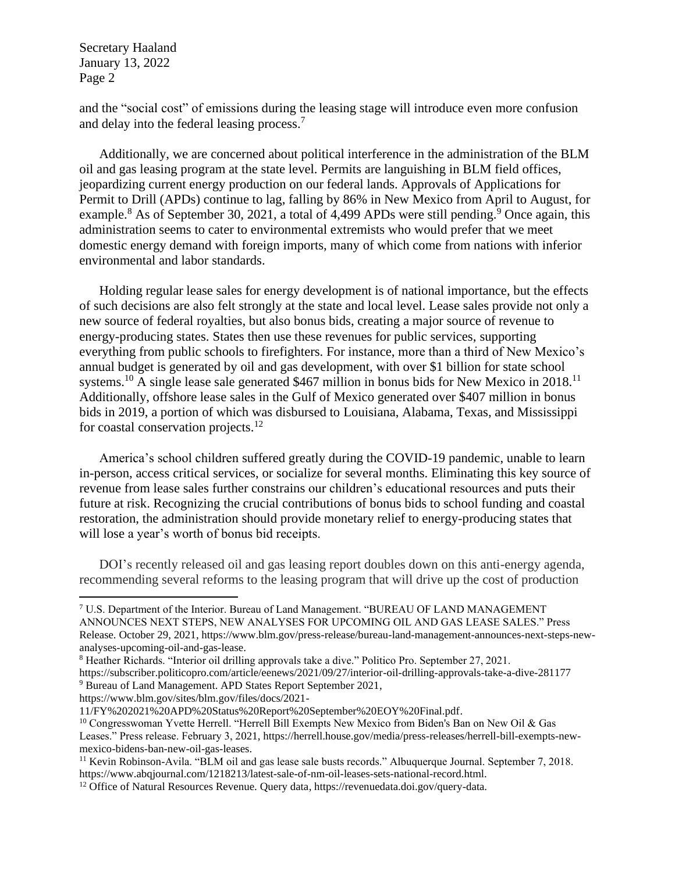and the "social cost" of emissions during the leasing stage will introduce even more confusion and delay into the federal leasing process.<sup>7</sup>

Additionally, we are concerned about political interference in the administration of the BLM oil and gas leasing program at the state level. Permits are languishing in BLM field offices, jeopardizing current energy production on our federal lands. Approvals of Applications for Permit to Drill (APDs) continue to lag, falling by 86% in New Mexico from April to August, for example.<sup>8</sup> As of September 30, 2021, a total of 4,499 APDs were still pending.<sup>9</sup> Once again, this administration seems to cater to environmental extremists who would prefer that we meet domestic energy demand with foreign imports, many of which come from nations with inferior environmental and labor standards.

Holding regular lease sales for energy development is of national importance, but the effects of such decisions are also felt strongly at the state and local level. Lease sales provide not only a new source of federal royalties, but also bonus bids, creating a major source of revenue to energy-producing states. States then use these revenues for public services, supporting everything from public schools to firefighters. For instance, more than a third of New Mexico's annual budget is generated by oil and gas development, with over \$1 billion for state school systems.<sup>10</sup> A single lease sale generated \$467 million in bonus bids for New Mexico in 2018.<sup>11</sup> Additionally, offshore lease sales in the Gulf of Mexico generated over \$407 million in bonus bids in 2019, a portion of which was disbursed to Louisiana, Alabama, Texas, and Mississippi for coastal conservation projects. $12$ 

America's school children suffered greatly during the COVID-19 pandemic, unable to learn in-person, access critical services, or socialize for several months. Eliminating this key source of revenue from lease sales further constrains our children's educational resources and puts their future at risk. Recognizing the crucial contributions of bonus bids to school funding and coastal restoration, the administration should provide monetary relief to energy-producing states that will lose a year's worth of bonus bid receipts.

DOI's recently released oil and gas leasing report doubles down on this anti-energy agenda, recommending several reforms to the leasing program that will drive up the cost of production

https://www.blm.gov/sites/blm.gov/files/docs/2021-

<sup>7</sup> U.S. Department of the Interior. Bureau of Land Management. "BUREAU OF LAND MANAGEMENT ANNOUNCES NEXT STEPS, NEW ANALYSES FOR UPCOMING OIL AND GAS LEASE SALES." Press Release. October 29, 2021, https://www.blm.gov/press-release/bureau-land-management-announces-next-steps-newanalyses-upcoming-oil-and-gas-lease.

<sup>8</sup> Heather Richards. "Interior oil drilling approvals take a dive." Politico Pro. September 27, 2021.

https://subscriber.politicopro.com/article/eenews/2021/09/27/interior-oil-drilling-approvals-take-a-dive-281177 <sup>9</sup> Bureau of Land Management. APD States Report September 2021,

<sup>11/</sup>FY%202021%20APD%20Status%20Report%20September%20EOY%20Final.pdf.

<sup>&</sup>lt;sup>10</sup> Congresswoman Yvette Herrell. "Herrell Bill Exempts New Mexico from Biden's Ban on New Oil & Gas Leases." Press release. February 3, 2021, https://herrell.house.gov/media/press-releases/herrell-bill-exempts-newmexico-bidens-ban-new-oil-gas-leases.

<sup>&</sup>lt;sup>11</sup> Kevin Robinson-Avila. "BLM oil and gas lease sale busts records." Albuquerque Journal. September 7, 2018. https://www.abqjournal.com/1218213/latest-sale-of-nm-oil-leases-sets-national-record.html.

<sup>12</sup> Office of Natural Resources Revenue. Query data, https://revenuedata.doi.gov/query-data.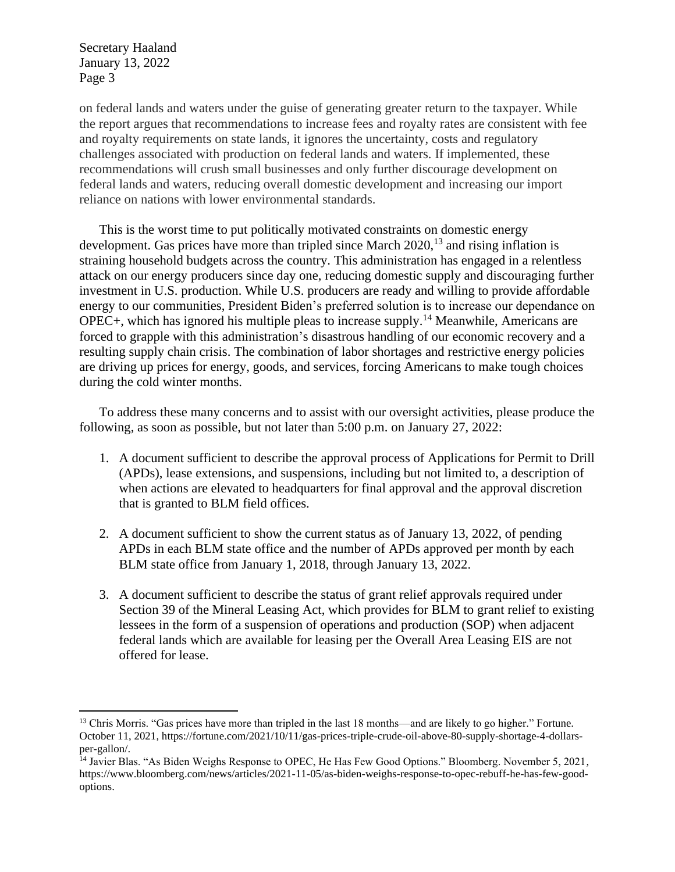on federal lands and waters under the guise of generating greater return to the taxpayer. While the report argues that recommendations to increase fees and royalty rates are consistent with fee and royalty requirements on state lands, it ignores the uncertainty, costs and regulatory challenges associated with production on federal lands and waters. If implemented, these recommendations will crush small businesses and only further discourage development on federal lands and waters, reducing overall domestic development and increasing our import reliance on nations with lower environmental standards.

This is the worst time to put politically motivated constraints on domestic energy development. Gas prices have more than tripled since March 2020,<sup>13</sup> and rising inflation is straining household budgets across the country. This administration has engaged in a relentless attack on our energy producers since day one, reducing domestic supply and discouraging further investment in U.S. production. While U.S. producers are ready and willing to provide affordable energy to our communities, President Biden's preferred solution is to increase our dependance on OPEC+, which has ignored his multiple pleas to increase supply.<sup>14</sup> Meanwhile, Americans are forced to grapple with this administration's disastrous handling of our economic recovery and a resulting supply chain crisis. The combination of labor shortages and restrictive energy policies are driving up prices for energy, goods, and services, forcing Americans to make tough choices during the cold winter months.

To address these many concerns and to assist with our oversight activities, please produce the following, as soon as possible, but not later than 5:00 p.m. on January 27, 2022:

- 1. A document sufficient to describe the approval process of Applications for Permit to Drill (APDs), lease extensions, and suspensions, including but not limited to, a description of when actions are elevated to headquarters for final approval and the approval discretion that is granted to BLM field offices.
- 2. A document sufficient to show the current status as of January 13, 2022, of pending APDs in each BLM state office and the number of APDs approved per month by each BLM state office from January 1, 2018, through January 13, 2022.
- 3. A document sufficient to describe the status of grant relief approvals required under Section 39 of the Mineral Leasing Act, which provides for BLM to grant relief to existing lessees in the form of a suspension of operations and production (SOP) when adjacent federal lands which are available for leasing per the Overall Area Leasing EIS are not offered for lease.

<sup>&</sup>lt;sup>13</sup> Chris Morris. "Gas prices have more than tripled in the last 18 months—and are likely to go higher." Fortune. October 11, 2021, https://fortune.com/2021/10/11/gas-prices-triple-crude-oil-above-80-supply-shortage-4-dollarsper-gallon/.

<sup>&</sup>lt;sup>14</sup> Javier Blas. "As Biden Weighs Response to OPEC, He Has Few Good Options." Bloomberg. November 5, 2021, https://www.bloomberg.com/news/articles/2021-11-05/as-biden-weighs-response-to-opec-rebuff-he-has-few-goodoptions.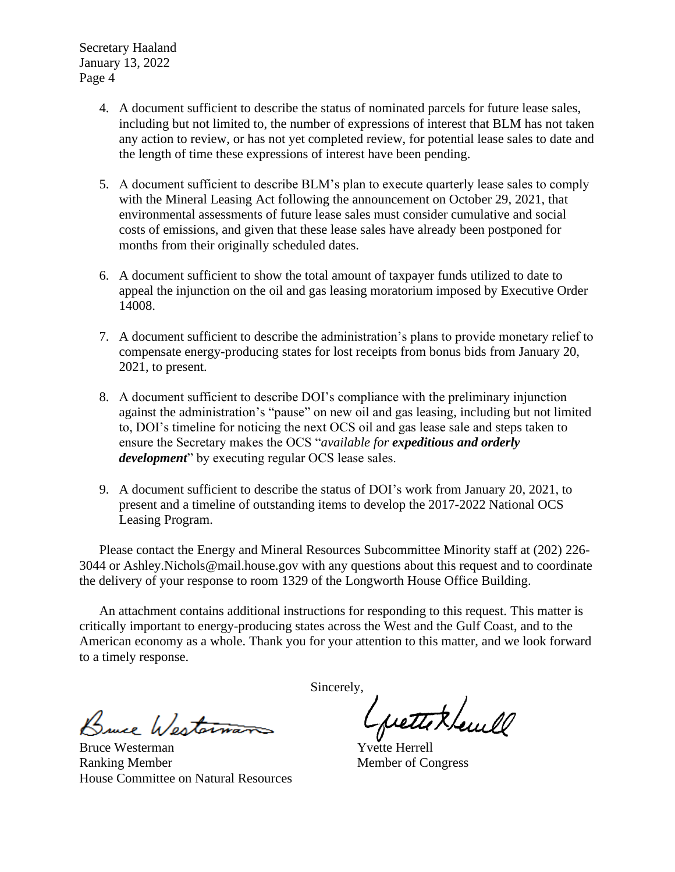- 4. A document sufficient to describe the status of nominated parcels for future lease sales, including but not limited to, the number of expressions of interest that BLM has not taken any action to review, or has not yet completed review, for potential lease sales to date and the length of time these expressions of interest have been pending.
- 5. A document sufficient to describe BLM's plan to execute quarterly lease sales to comply with the Mineral Leasing Act following the announcement on October 29, 2021, that environmental assessments of future lease sales must consider cumulative and social costs of emissions, and given that these lease sales have already been postponed for months from their originally scheduled dates.
- 6. A document sufficient to show the total amount of taxpayer funds utilized to date to appeal the injunction on the oil and gas leasing moratorium imposed by Executive Order 14008.
- 7. A document sufficient to describe the administration's plans to provide monetary relief to compensate energy-producing states for lost receipts from bonus bids from January 20, 2021, to present.
- 8. A document sufficient to describe DOI's compliance with the preliminary injunction against the administration's "pause" on new oil and gas leasing, including but not limited to, DOI's timeline for noticing the next OCS oil and gas lease sale and steps taken to ensure the Secretary makes the OCS "*available for expeditious and orderly development*" by executing regular OCS lease sales.
- 9. A document sufficient to describe the status of DOI's work from January 20, 2021, to present and a timeline of outstanding items to develop the 2017-2022 National OCS Leasing Program.

Please contact the Energy and Mineral Resources Subcommittee Minority staff at (202) 226- 3044 or Ashley.Nichols@mail.house.gov with any questions about this request and to coordinate the delivery of your response to room 1329 of the Longworth House Office Building.

An attachment contains additional instructions for responding to this request. This matter is critically important to energy-producing states across the West and the Gulf Coast, and to the American economy as a whole. Thank you for your attention to this matter, and we look forward to a timely response.

Bruce Westerna

Bruce Westerman Ranking Member House Committee on Natural Resources

Sincerely,

pettek levell

Yvette Herrell Member of Congress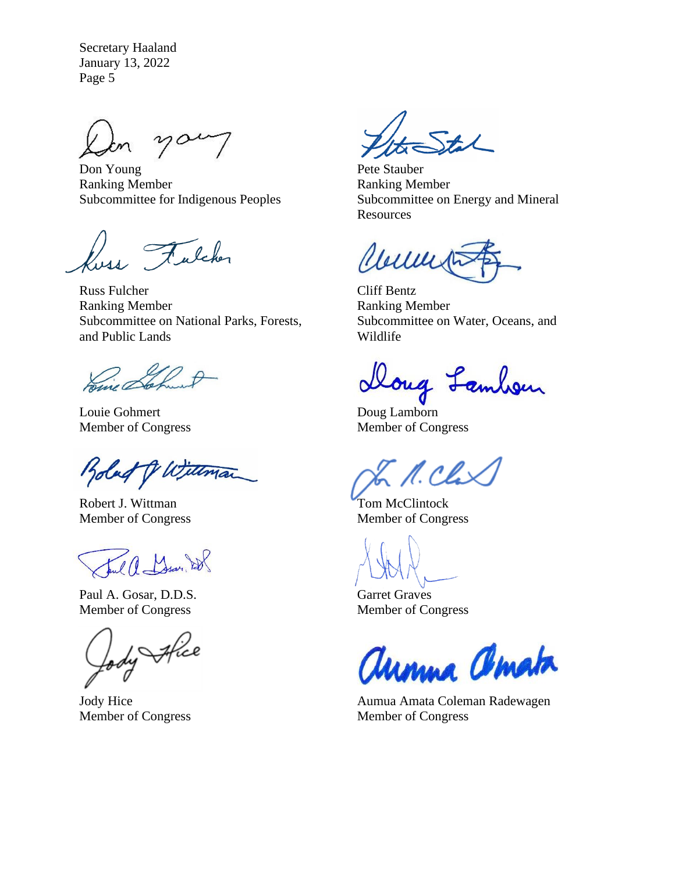Don Young Ranking Member Subcommittee for Indigenous Peoples

11 Fulcher

Russ Fulcher Ranking Member Subcommittee on National Parks, Forests, and Public Lands

Home &

Louie Gohmert Member of Congress

Bolad TV W.

Robert J. Wittman Member of Congress

Ful a Mars 28

Paul A. Gosar, D.D.S. Member of Congress

Jody Africe

Jody Hice Member of Congress

Pete Stauber Ranking Member Subcommittee on Energy and Mineral **Resources** 

Clemen

Cliff Bentz Ranking Member Subcommittee on Water, Oceans, and Wildlife

Doug Lambon

Doug Lamborn Member of Congress

N. Chi

Tom McClintock Member of Congress

Garret Graves Member of Congress

Unnna amata

Aumua Amata Coleman Radewagen Member of Congress